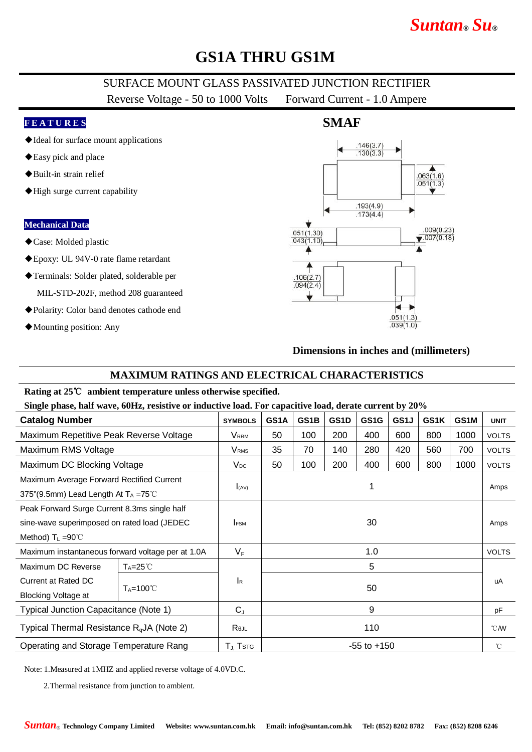# **GS1A THRU GS1M**

## SURFACE MOUNT GLASS PASSIVATED JUNCTION RECTIFIER

Reverse Voltage - 50 to 1000 Volts Forward Current - 1.0 Ampere

#### **F E A T U R E S**

- ◆Ideal for surface mount applications
- ◆Easy pick and place
- ◆Built-in strain relief
- ◆High surge current capability

#### **Mechanical Data**

- ◆Case: Molded plastic
- ◆Epoxy: UL 94V-0 rate flame retardant
- ◆Terminals: Solder plated, solderable per

MIL-STD-202F, method 208 guaranteed

- ◆Polarity: Color band denotes cathode end
- ◆Mounting position: Any



#### **Dimensions in inches and (millimeters)**

### **MAXIMUM RATINGS AND ELECTRICAL CHARACTERISTICS**

#### **Rating at 25**℃ **ambient temperature unless otherwise specified.**

**Single phase, half wave, 60Hz, resistive or inductive load. For capacitive load, derate current by 20%**

|                                                       | <b>SYMBOLS</b>            | GS1A            | GS1B | GS <sub>1</sub> D | GS <sub>1</sub> G | GS1J         | GS1K         | GS1M | <b>UNIT</b>  |
|-------------------------------------------------------|---------------------------|-----------------|------|-------------------|-------------------|--------------|--------------|------|--------------|
| Maximum Repetitive Peak Reverse Voltage               | <b>V</b> <sub>RRM</sub>   | 50              | 100  | 200               | 400               | 600          | 800          | 1000 | <b>VOLTS</b> |
|                                                       | <b>V</b> <sub>RMS</sub>   | 35              | 70   | 140               | 280               | 420          | 560          | 700  | <b>VOLTS</b> |
| Maximum DC Blocking Voltage                           | $V_{DC}$                  | 50              | 100  | 200               | 400               | 600          | 800          | 1000 | <b>VOLTS</b> |
| Maximum Average Forward Rectified Current             |                           |                 |      |                   |                   |              |              |      |              |
| 375"(9.5mm) Lead Length At $T_A = 75^{\circ}$ C       |                           |                 |      |                   |                   |              |              |      | Amps         |
| Peak Forward Surge Current 8.3ms single half          |                           |                 |      |                   |                   |              |              |      |              |
| sine-wave superimposed on rated load (JEDEC           | <b>FSM</b>                | 30              |      |                   |                   |              |              |      | Amps         |
|                                                       |                           |                 |      |                   |                   |              |              |      |              |
| Maximum instantaneous forward voltage per at 1.0A     | $V_F$                     | 1.0             |      |                   |                   | <b>VOLTS</b> |              |      |              |
| $T_A = 25^{\circ}C$                                   |                           | 5               |      |                   |                   |              |              |      |              |
| $T_A = 100^{\circ}$                                   | $\mathsf{I}_{\mathsf{R}}$ | 50              |      |                   |                   |              |              |      | uA           |
|                                                       |                           |                 |      |                   |                   |              |              |      |              |
| Typical Junction Capacitance (Note 1)                 | $C_{J}$                   | 9               |      |                   |                   | pF           |              |      |              |
| Typical Thermal Resistance R <sub>q</sub> JA (Note 2) | Rejl                      | 110             |      |                   | $^{\circ}$ CMV    |              |              |      |              |
| Operating and Storage Temperature Rang                | $T_{J}$ Tstg              | $-55$ to $+150$ |      |                   |                   |              | $^{\circ}$ C |      |              |
|                                                       |                           | $I_{(AV)}$      |      |                   |                   |              |              |      |              |

Note: 1.Measured at 1MHZ and applied reverse voltage of 4.0VD.C.

2.Thermal resistance from junction to ambient.